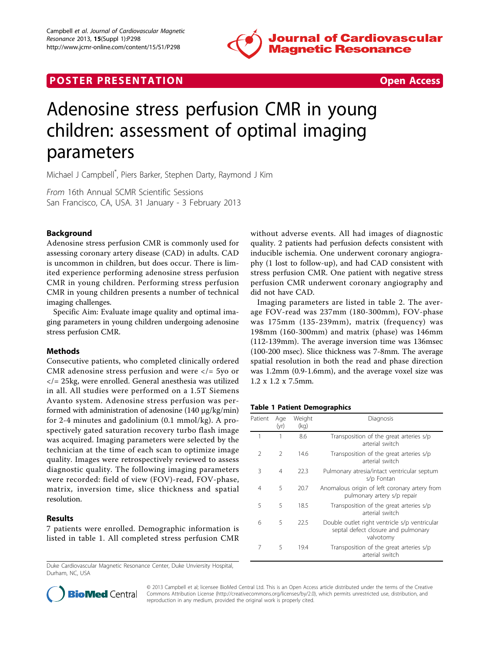

# **POSTER PRESENTATION CONSUMING THE SECOND CONSUMING THE SECOND CONSUMING THE SECOND CONSUMING THE SECOND CONSUMING THE SECOND CONSUMING THE SECOND CONSUMING THE SECOND CONSUMING THE SECOND CONSUMING THE SECOND CONSUMING**



# Adenosine stress perfusion CMR in young children: assessment of optimal imaging parameters

Michael J Campbell\* , Piers Barker, Stephen Darty, Raymond J Kim

From 16th Annual SCMR Scientific Sessions San Francisco, CA, USA. 31 January - 3 February 2013

### Background

Adenosine stress perfusion CMR is commonly used for assessing coronary artery disease (CAD) in adults. CAD is uncommon in children, but does occur. There is limited experience performing adenosine stress perfusion CMR in young children. Performing stress perfusion CMR in young children presents a number of technical imaging challenges.

Specific Aim: Evaluate image quality and optimal imaging parameters in young children undergoing adenosine stress perfusion CMR.

#### **Methods**

Consecutive patients, who completed clinically ordered CMR adenosine stress perfusion and were  $\langle \rangle = 5$ yo or  $\langle$  = 25 kg, were enrolled. General anesthesia was utilized in all. All studies were performed on a 1.5T Siemens Avanto system. Adenosine stress perfusion was performed with administration of adenosine (140 μg/kg/min) for 2-4 minutes and gadolinium (0.1 mmol/kg). A prospectively gated saturation recovery turbo flash image was acquired. Imaging parameters were selected by the technician at the time of each scan to optimize image quality. Images were retrospectively reviewed to assess diagnostic quality. The following imaging parameters were recorded: field of view (FOV)-read, FOV-phase, matrix, inversion time, slice thickness and spatial resolution.

#### Results

7 patients were enrolled. Demographic information is listed in table 1. All completed stress perfusion CMR

Duke Cardiovascular Magnetic Resonance Center, Duke Unviersity Hospital, Durham, NC, USA

without adverse events. All had images of diagnostic quality. 2 patients had perfusion defects consistent with inducible ischemia. One underwent coronary angiography (1 lost to follow-up), and had CAD consistent with stress perfusion CMR. One patient with negative stress perfusion CMR underwent coronary angiography and did not have CAD.

Imaging parameters are listed in table [2](#page-1-0). The average FOV-read was 237mm (180-300mm), FOV-phase was 175mm (135-239mm), matrix (frequency) was 198mm (160-300mm) and matrix (phase) was 146mm (112-139mm). The average inversion time was 136msec (100-200 msec). Slice thickness was 7-8mm. The average spatial resolution in both the read and phase direction was 1.2mm (0.9-1.6mm), and the average voxel size was 1.2 x 1.2 x 7.5mm.

#### Table 1 Patient Demographics

| Patient       | Age<br>(yr)   | Weight<br>(kg) | Diagnosis                                                                                         |  |  |  |
|---------------|---------------|----------------|---------------------------------------------------------------------------------------------------|--|--|--|
| 1             | 1             | 8.6            | Transposition of the great arteries s/p<br>arterial switch                                        |  |  |  |
| $\mathcal{P}$ | $\mathcal{P}$ | 14.6           | Transposition of the great arteries s/p<br>arterial switch                                        |  |  |  |
| 3             | 4             | 22.3           | Pulmonary atresia/intact ventricular septum<br>s/p Fontan                                         |  |  |  |
| 4             | 5             | 20.7           | Anomalous origin of left coronary artery from<br>pulmonary artery s/p repair                      |  |  |  |
| 5             | 5             | 18.5           | Transposition of the great arteries s/p<br>arterial switch                                        |  |  |  |
| 6             | 5             | 22.5           | Double outlet right ventricle s/p ventricular<br>septal defect closure and pulmonary<br>valvotomy |  |  |  |
| 7             | 5             | 19.4           | Transposition of the great arteries s/p<br>arterial switch                                        |  |  |  |



© 2013 Campbell et al; licensee BioMed Central Ltd. This is an Open Access article distributed under the terms of the Creative Commons Attribution License [\(http://creativecommons.org/licenses/by/2.0](http://creativecommons.org/licenses/by/2.0)), which permits unrestricted use, distribution, and reproduction in any medium, provided the original work is properly cited.